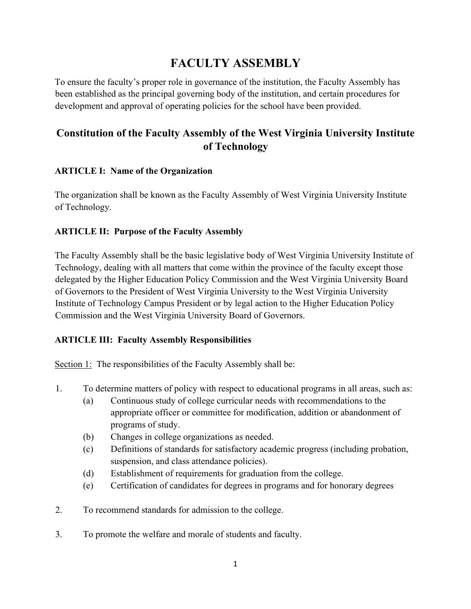# **FACULTY ASSEMBLY**

To ensure the faculty's proper role in governance of the institution, the Faculty Assembly has been established as the principal governing body of the institution, and certain procedures for development and approval of operating policies for the school have been provided.

# **Constitution of the Faculty Assembly of the West Virginia University Institute of Technology**

# **ARTICLE I: Name of the Organization**

The organization shall be known as the Faculty Assembly of West Virginia University Institute of Technology.

# **ARTICLE II: Purpose of the Faculty Assembly**

The Faculty Assembly shall be the basic legislative body of West Virginia University Institute of Technology, dealing with all matters that come within the province of the faculty except those delegated by the Higher Education Policy Commission and the West Virginia University Board of Governors to the President of West Virginia University to the West Virginia University Institute of Technology Campus President or by legal action to the Higher Education Policy Commission and the West Virginia University Board of Governors.

# **ARTICLE III: Faculty Assembly Responsibilities**

Section 1: The responsibilities of the Faculty Assembly shall be:

- 1. To determine matters of policy with respect to educational programs in all areas, such as:
	- (a) Continuous study of college curricular needs with recommendations to the appropriate officer or committee for modification, addition or abandonment of programs of study.
	- (b) Changes in college organizations as needed.
	- (c) Definitions of standards for satisfactory academic progress (including probation, suspension, and class attendance policies).
	- (d) Establishment of requirements for graduation from the college.
	- (e) Certification of candidates for degrees in programs and for honorary degrees
- 2. To recommend standards for admission to the college.
- 3. To promote the welfare and morale of students and faculty.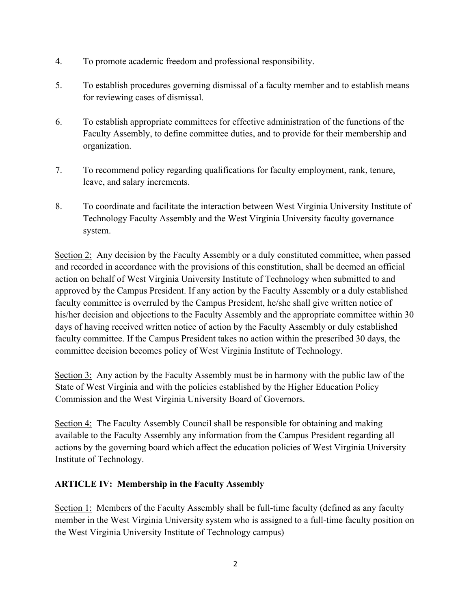- 4. To promote academic freedom and professional responsibility.
- 5. To establish procedures governing dismissal of a faculty member and to establish means for reviewing cases of dismissal.
- 6. To establish appropriate committees for effective administration of the functions of the Faculty Assembly, to define committee duties, and to provide for their membership and organization.
- 7. To recommend policy regarding qualifications for faculty employment, rank, tenure, leave, and salary increments.
- 8. To coordinate and facilitate the interaction between West Virginia University Institute of Technology Faculty Assembly and the West Virginia University faculty governance system.

Section 2: Any decision by the Faculty Assembly or a duly constituted committee, when passed and recorded in accordance with the provisions of this constitution, shall be deemed an official action on behalf of West Virginia University Institute of Technology when submitted to and approved by the Campus President. If any action by the Faculty Assembly or a duly established faculty committee is overruled by the Campus President, he/she shall give written notice of his/her decision and objections to the Faculty Assembly and the appropriate committee within 30 days of having received written notice of action by the Faculty Assembly or duly established faculty committee. If the Campus President takes no action within the prescribed 30 days, the committee decision becomes policy of West Virginia Institute of Technology.

Section 3: Any action by the Faculty Assembly must be in harmony with the public law of the State of West Virginia and with the policies established by the Higher Education Policy Commission and the West Virginia University Board of Governors.

Section 4: The Faculty Assembly Council shall be responsible for obtaining and making available to the Faculty Assembly any information from the Campus President regarding all actions by the governing board which affect the education policies of West Virginia University Institute of Technology.

# **ARTICLE IV: Membership in the Faculty Assembly**

Section 1: Members of the Faculty Assembly shall be full-time faculty (defined as any faculty member in the West Virginia University system who is assigned to a full-time faculty position on the West Virginia University Institute of Technology campus)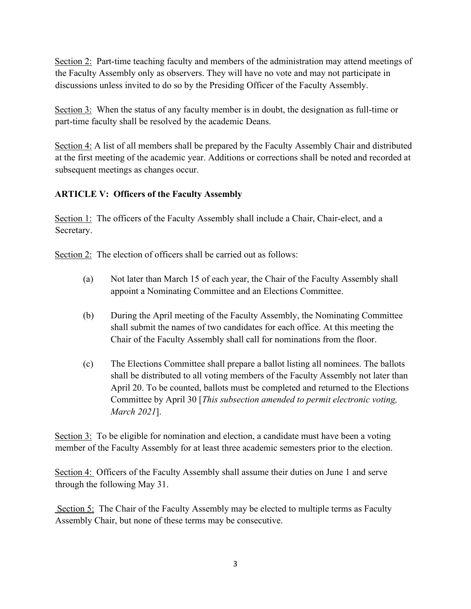Section 2: Part-time teaching faculty and members of the administration may attend meetings of the Faculty Assembly only as observers. They will have no vote and may not participate in discussions unless invited to do so by the Presiding Officer of the Faculty Assembly.

Section 3: When the status of any faculty member is in doubt, the designation as full-time or part-time faculty shall be resolved by the academic Deans.

Section 4: A list of all members shall be prepared by the Faculty Assembly Chair and distributed at the first meeting of the academic year. Additions or corrections shall be noted and recorded at subsequent meetings as changes occur.

## **ARTICLE V: Officers of the Faculty Assembly**

Section 1: The officers of the Faculty Assembly shall include a Chair, Chair-elect, and a Secretary.

Section 2: The election of officers shall be carried out as follows:

- (a) Not later than March 15 of each year, the Chair of the Faculty Assembly shall appoint a Nominating Committee and an Elections Committee.
- (b) During the April meeting of the Faculty Assembly, the Nominating Committee shall submit the names of two candidates for each office. At this meeting the Chair of the Faculty Assembly shall call for nominations from the floor.
- (c) The Elections Committee shall prepare a ballot listing all nominees. The ballots shall be distributed to all voting members of the Faculty Assembly not later than April 20. To be counted, ballots must be completed and returned to the Elections Committee by April 30 [*This subsection amended to permit electronic voting, March 2021*].

Section 3: To be eligible for nomination and election, a candidate must have been a voting member of the Faculty Assembly for at least three academic semesters prior to the election.

Section 4: Officers of the Faculty Assembly shall assume their duties on June 1 and serve through the following May 31.

 Section 5: The Chair of the Faculty Assembly may be elected to multiple terms as Faculty Assembly Chair, but none of these terms may be consecutive.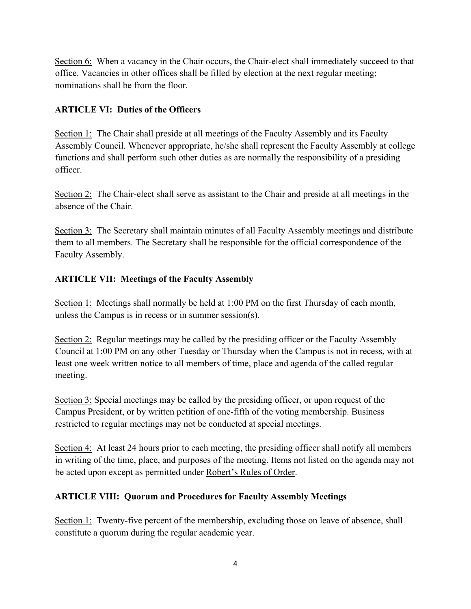Section 6: When a vacancy in the Chair occurs, the Chair-elect shall immediately succeed to that office. Vacancies in other offices shall be filled by election at the next regular meeting; nominations shall be from the floor.

# **ARTICLE VI: Duties of the Officers**

Section 1: The Chair shall preside at all meetings of the Faculty Assembly and its Faculty Assembly Council. Whenever appropriate, he/she shall represent the Faculty Assembly at college functions and shall perform such other duties as are normally the responsibility of a presiding officer.

Section 2: The Chair-elect shall serve as assistant to the Chair and preside at all meetings in the absence of the Chair.

Section 3: The Secretary shall maintain minutes of all Faculty Assembly meetings and distribute them to all members. The Secretary shall be responsible for the official correspondence of the Faculty Assembly.

# **ARTICLE VII: Meetings of the Faculty Assembly**

Section 1: Meetings shall normally be held at 1:00 PM on the first Thursday of each month, unless the Campus is in recess or in summer session(s).

Section 2: Regular meetings may be called by the presiding officer or the Faculty Assembly Council at 1:00 PM on any other Tuesday or Thursday when the Campus is not in recess, with at least one week written notice to all members of time, place and agenda of the called regular meeting.

Section 3: Special meetings may be called by the presiding officer, or upon request of the Campus President, or by written petition of one-fifth of the voting membership. Business restricted to regular meetings may not be conducted at special meetings.

Section 4: At least 24 hours prior to each meeting, the presiding officer shall notify all members in writing of the time, place, and purposes of the meeting. Items not listed on the agenda may not be acted upon except as permitted under Robert's Rules of Order.

# **ARTICLE VIII: Quorum and Procedures for Faculty Assembly Meetings**

Section 1: Twenty-five percent of the membership, excluding those on leave of absence, shall constitute a quorum during the regular academic year.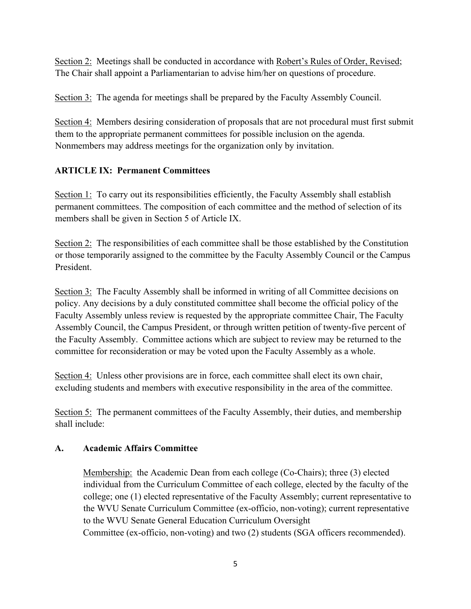Section 2: Meetings shall be conducted in accordance with Robert's Rules of Order, Revised; The Chair shall appoint a Parliamentarian to advise him/her on questions of procedure.

Section 3: The agenda for meetings shall be prepared by the Faculty Assembly Council.

Section 4: Members desiring consideration of proposals that are not procedural must first submit them to the appropriate permanent committees for possible inclusion on the agenda. Nonmembers may address meetings for the organization only by invitation.

# **ARTICLE IX: Permanent Committees**

Section 1: To carry out its responsibilities efficiently, the Faculty Assembly shall establish permanent committees. The composition of each committee and the method of selection of its members shall be given in Section 5 of Article IX.

Section 2: The responsibilities of each committee shall be those established by the Constitution or those temporarily assigned to the committee by the Faculty Assembly Council or the Campus President.

Section 3: The Faculty Assembly shall be informed in writing of all Committee decisions on policy. Any decisions by a duly constituted committee shall become the official policy of the Faculty Assembly unless review is requested by the appropriate committee Chair, The Faculty Assembly Council, the Campus President, or through written petition of twenty-five percent of the Faculty Assembly. Committee actions which are subject to review may be returned to the committee for reconsideration or may be voted upon the Faculty Assembly as a whole.

Section 4: Unless other provisions are in force, each committee shall elect its own chair, excluding students and members with executive responsibility in the area of the committee.

Section 5: The permanent committees of the Faculty Assembly, their duties, and membership shall include:

### **A. Academic Affairs Committee**

Membership: the Academic Dean from each college (Co-Chairs); three (3) elected individual from the Curriculum Committee of each college, elected by the faculty of the college; one (1) elected representative of the Faculty Assembly; current representative to the WVU Senate Curriculum Committee (ex-officio, non-voting); current representative to the WVU Senate General Education Curriculum Oversight Committee (ex-officio, non-voting) and two (2) students (SGA officers recommended).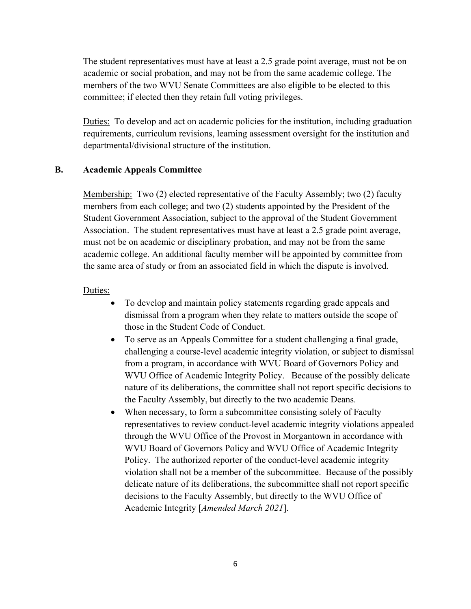The student representatives must have at least a 2.5 grade point average, must not be on academic or social probation, and may not be from the same academic college. The members of the two WVU Senate Committees are also eligible to be elected to this committee; if elected then they retain full voting privileges.

Duties: To develop and act on academic policies for the institution, including graduation requirements, curriculum revisions, learning assessment oversight for the institution and departmental/divisional structure of the institution.

#### **B. Academic Appeals Committee**

Membership: Two (2) elected representative of the Faculty Assembly; two (2) faculty members from each college; and two (2) students appointed by the President of the Student Government Association, subject to the approval of the Student Government Association. The student representatives must have at least a 2.5 grade point average, must not be on academic or disciplinary probation, and may not be from the same academic college. An additional faculty member will be appointed by committee from the same area of study or from an associated field in which the dispute is involved.

- To develop and maintain policy statements regarding grade appeals and dismissal from a program when they relate to matters outside the scope of those in the Student Code of Conduct.
- To serve as an Appeals Committee for a student challenging a final grade, challenging a course-level academic integrity violation, or subject to dismissal from a program, in accordance with WVU Board of Governors Policy and WVU Office of Academic Integrity Policy. Because of the possibly delicate nature of its deliberations, the committee shall not report specific decisions to the Faculty Assembly, but directly to the two academic Deans.
- When necessary, to form a subcommittee consisting solely of Faculty representatives to review conduct-level academic integrity violations appealed through the WVU Office of the Provost in Morgantown in accordance with WVU Board of Governors Policy and WVU Office of Academic Integrity Policy. The authorized reporter of the conduct-level academic integrity violation shall not be a member of the subcommittee. Because of the possibly delicate nature of its deliberations, the subcommittee shall not report specific decisions to the Faculty Assembly, but directly to the WVU Office of Academic Integrity [*Amended March 2021*].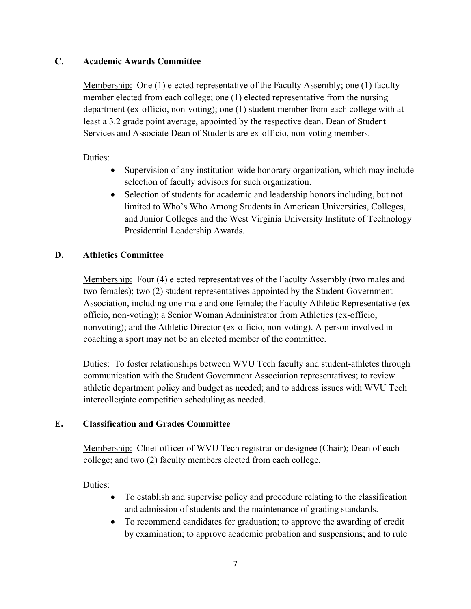#### **C. Academic Awards Committee**

Membership: One (1) elected representative of the Faculty Assembly; one (1) faculty member elected from each college; one (1) elected representative from the nursing department (ex-officio, non-voting); one (1) student member from each college with at least a 3.2 grade point average, appointed by the respective dean. Dean of Student Services and Associate Dean of Students are ex-officio, non-voting members.

### Duties:

- Supervision of any institution-wide honorary organization, which may include selection of faculty advisors for such organization.
- Selection of students for academic and leadership honors including, but not limited to Who's Who Among Students in American Universities, Colleges, and Junior Colleges and the West Virginia University Institute of Technology Presidential Leadership Awards.

#### **D. Athletics Committee**

Membership: Four (4) elected representatives of the Faculty Assembly (two males and two females); two (2) student representatives appointed by the Student Government Association, including one male and one female; the Faculty Athletic Representative (exofficio, non-voting); a Senior Woman Administrator from Athletics (ex-officio, nonvoting); and the Athletic Director (ex-officio, non-voting). A person involved in coaching a sport may not be an elected member of the committee.

Duties: To foster relationships between WVU Tech faculty and student-athletes through communication with the Student Government Association representatives; to review athletic department policy and budget as needed; and to address issues with WVU Tech intercollegiate competition scheduling as needed.

### **E. Classification and Grades Committee**

Membership: Chief officer of WVU Tech registrar or designee (Chair); Dean of each college; and two (2) faculty members elected from each college.

- To establish and supervise policy and procedure relating to the classification and admission of students and the maintenance of grading standards.
- To recommend candidates for graduation; to approve the awarding of credit by examination; to approve academic probation and suspensions; and to rule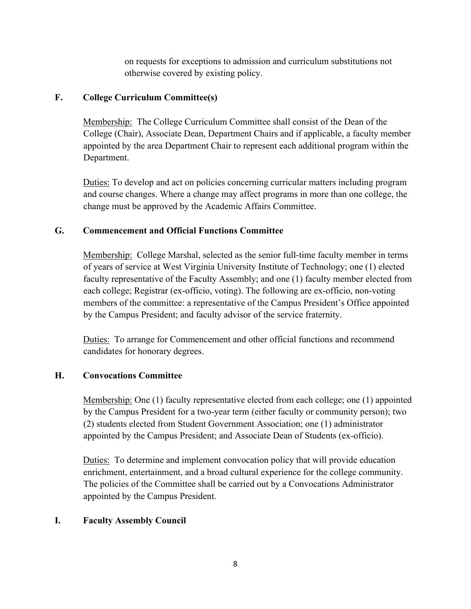on requests for exceptions to admission and curriculum substitutions not otherwise covered by existing policy.

## **F. College Curriculum Committee(s)**

Membership: The College Curriculum Committee shall consist of the Dean of the College (Chair), Associate Dean, Department Chairs and if applicable, a faculty member appointed by the area Department Chair to represent each additional program within the Department.

Duties: To develop and act on policies concerning curricular matters including program and course changes. Where a change may affect programs in more than one college, the change must be approved by the Academic Affairs Committee.

## **G. Commencement and Official Functions Committee**

Membership: College Marshal, selected as the senior full-time faculty member in terms of years of service at West Virginia University Institute of Technology; one (1) elected faculty representative of the Faculty Assembly; and one (1) faculty member elected from each college; Registrar (ex-officio, voting). The following are ex-officio, non-voting members of the committee: a representative of the Campus President's Office appointed by the Campus President; and faculty advisor of the service fraternity.

Duties: To arrange for Commencement and other official functions and recommend candidates for honorary degrees.

### **H. Convocations Committee**

Membership: One (1) faculty representative elected from each college; one (1) appointed by the Campus President for a two-year term (either faculty or community person); two (2) students elected from Student Government Association; one (1) administrator appointed by the Campus President; and Associate Dean of Students (ex-officio).

Duties: To determine and implement convocation policy that will provide education enrichment, entertainment, and a broad cultural experience for the college community. The policies of the Committee shall be carried out by a Convocations Administrator appointed by the Campus President.

# **I. Faculty Assembly Council**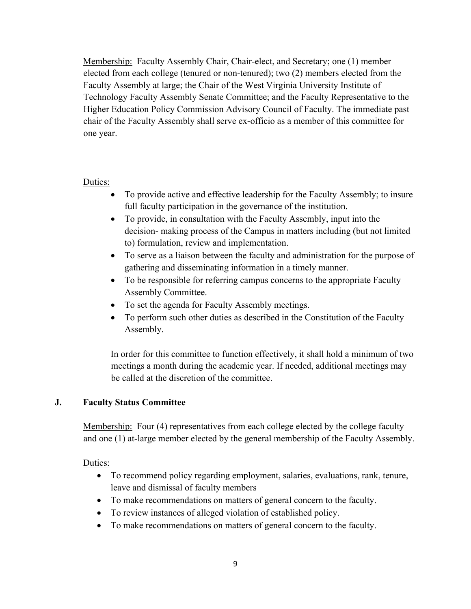Membership: Faculty Assembly Chair, Chair-elect, and Secretary; one (1) member elected from each college (tenured or non-tenured); two (2) members elected from the Faculty Assembly at large; the Chair of the West Virginia University Institute of Technology Faculty Assembly Senate Committee; and the Faculty Representative to the Higher Education Policy Commission Advisory Council of Faculty. The immediate past chair of the Faculty Assembly shall serve ex-officio as a member of this committee for one year.

#### Duties:

- To provide active and effective leadership for the Faculty Assembly; to insure full faculty participation in the governance of the institution.
- To provide, in consultation with the Faculty Assembly, input into the decision- making process of the Campus in matters including (but not limited to) formulation, review and implementation.
- To serve as a liaison between the faculty and administration for the purpose of gathering and disseminating information in a timely manner.
- To be responsible for referring campus concerns to the appropriate Faculty Assembly Committee.
- To set the agenda for Faculty Assembly meetings.
- To perform such other duties as described in the Constitution of the Faculty Assembly.

In order for this committee to function effectively, it shall hold a minimum of two meetings a month during the academic year. If needed, additional meetings may be called at the discretion of the committee.

### **J. Faculty Status Committee**

Membership: Four (4) representatives from each college elected by the college faculty and one (1) at-large member elected by the general membership of the Faculty Assembly.

- To recommend policy regarding employment, salaries, evaluations, rank, tenure, leave and dismissal of faculty members
- To make recommendations on matters of general concern to the faculty.
- To review instances of alleged violation of established policy.
- To make recommendations on matters of general concern to the faculty.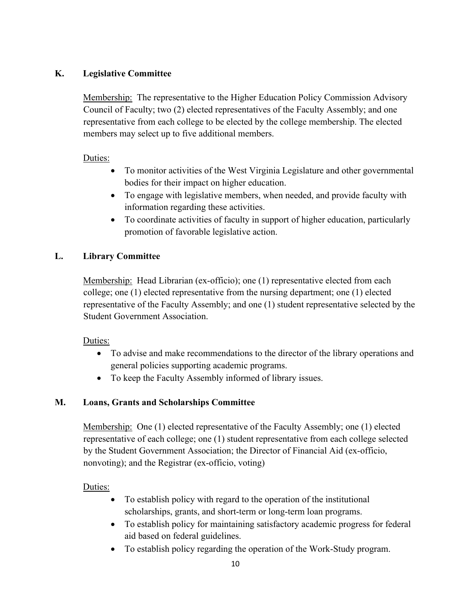## **K. Legislative Committee**

Membership: The representative to the Higher Education Policy Commission Advisory Council of Faculty; two (2) elected representatives of the Faculty Assembly; and one representative from each college to be elected by the college membership. The elected members may select up to five additional members.

### Duties:

- To monitor activities of the West Virginia Legislature and other governmental bodies for their impact on higher education.
- To engage with legislative members, when needed, and provide faculty with information regarding these activities.
- To coordinate activities of faculty in support of higher education, particularly promotion of favorable legislative action.

## **L. Library Committee**

Membership: Head Librarian (ex-officio); one (1) representative elected from each college; one (1) elected representative from the nursing department; one (1) elected representative of the Faculty Assembly; and one (1) student representative selected by the Student Government Association.

### Duties:

- To advise and make recommendations to the director of the library operations and general policies supporting academic programs.
- To keep the Faculty Assembly informed of library issues.

# **M. Loans, Grants and Scholarships Committee**

Membership: One (1) elected representative of the Faculty Assembly; one (1) elected representative of each college; one (1) student representative from each college selected by the Student Government Association; the Director of Financial Aid (ex-officio, nonvoting); and the Registrar (ex-officio, voting)

- To establish policy with regard to the operation of the institutional scholarships, grants, and short-term or long-term loan programs.
- To establish policy for maintaining satisfactory academic progress for federal aid based on federal guidelines.
- To establish policy regarding the operation of the Work-Study program.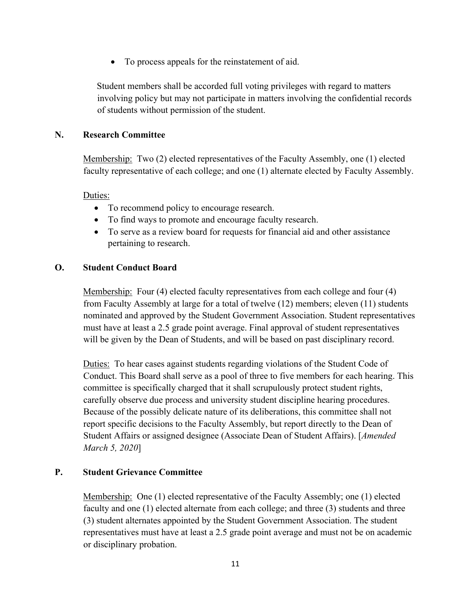• To process appeals for the reinstatement of aid.

Student members shall be accorded full voting privileges with regard to matters involving policy but may not participate in matters involving the confidential records of students without permission of the student.

#### **N. Research Committee**

Membership: Two (2) elected representatives of the Faculty Assembly, one (1) elected faculty representative of each college; and one (1) alternate elected by Faculty Assembly.

Duties:

- To recommend policy to encourage research.
- To find ways to promote and encourage faculty research.
- To serve as a review board for requests for financial aid and other assistance pertaining to research.

#### **O. Student Conduct Board**

Membership: Four (4) elected faculty representatives from each college and four (4) from Faculty Assembly at large for a total of twelve (12) members; eleven (11) students nominated and approved by the Student Government Association. Student representatives must have at least a 2.5 grade point average. Final approval of student representatives will be given by the Dean of Students, and will be based on past disciplinary record.

Duties: To hear cases against students regarding violations of the Student Code of Conduct. This Board shall serve as a pool of three to five members for each hearing. This committee is specifically charged that it shall scrupulously protect student rights, carefully observe due process and university student discipline hearing procedures. Because of the possibly delicate nature of its deliberations, this committee shall not report specific decisions to the Faculty Assembly, but report directly to the Dean of Student Affairs or assigned designee (Associate Dean of Student Affairs). [*Amended March 5, 2020*]

#### **P. Student Grievance Committee**

Membership: One (1) elected representative of the Faculty Assembly; one (1) elected faculty and one (1) elected alternate from each college; and three (3) students and three (3) student alternates appointed by the Student Government Association. The student representatives must have at least a 2.5 grade point average and must not be on academic or disciplinary probation.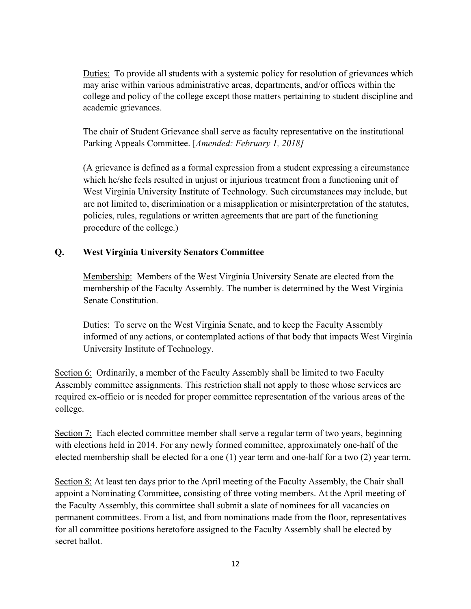Duties: To provide all students with a systemic policy for resolution of grievances which may arise within various administrative areas, departments, and/or offices within the college and policy of the college except those matters pertaining to student discipline and academic grievances.

The chair of Student Grievance shall serve as faculty representative on the institutional Parking Appeals Committee. [*Amended: February 1, 2018]*

(A grievance is defined as a formal expression from a student expressing a circumstance which he/she feels resulted in unjust or injurious treatment from a functioning unit of West Virginia University Institute of Technology. Such circumstances may include, but are not limited to, discrimination or a misapplication or misinterpretation of the statutes, policies, rules, regulations or written agreements that are part of the functioning procedure of the college.)

### **Q. West Virginia University Senators Committee**

Membership: Members of the West Virginia University Senate are elected from the membership of the Faculty Assembly. The number is determined by the West Virginia Senate Constitution.

Duties: To serve on the West Virginia Senate, and to keep the Faculty Assembly informed of any actions, or contemplated actions of that body that impacts West Virginia University Institute of Technology.

Section 6: Ordinarily, a member of the Faculty Assembly shall be limited to two Faculty Assembly committee assignments. This restriction shall not apply to those whose services are required ex-officio or is needed for proper committee representation of the various areas of the college.

Section 7: Each elected committee member shall serve a regular term of two years, beginning with elections held in 2014. For any newly formed committee, approximately one-half of the elected membership shall be elected for a one (1) year term and one-half for a two (2) year term.

Section 8: At least ten days prior to the April meeting of the Faculty Assembly, the Chair shall appoint a Nominating Committee, consisting of three voting members. At the April meeting of the Faculty Assembly, this committee shall submit a slate of nominees for all vacancies on permanent committees. From a list, and from nominations made from the floor, representatives for all committee positions heretofore assigned to the Faculty Assembly shall be elected by secret ballot.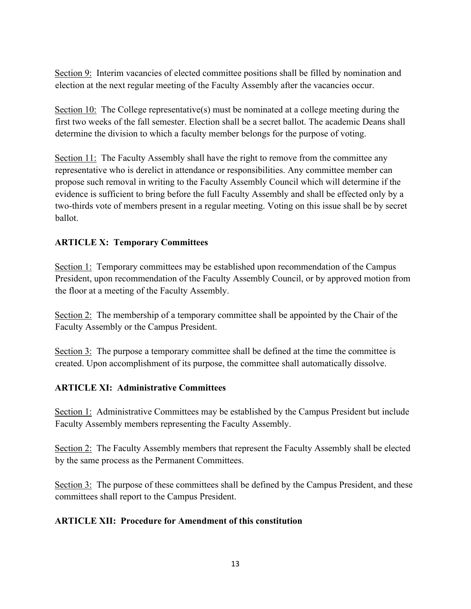Section 9: Interim vacancies of elected committee positions shall be filled by nomination and election at the next regular meeting of the Faculty Assembly after the vacancies occur.

Section 10: The College representative(s) must be nominated at a college meeting during the first two weeks of the fall semester. Election shall be a secret ballot. The academic Deans shall determine the division to which a faculty member belongs for the purpose of voting.

Section 11: The Faculty Assembly shall have the right to remove from the committee any representative who is derelict in attendance or responsibilities. Any committee member can propose such removal in writing to the Faculty Assembly Council which will determine if the evidence is sufficient to bring before the full Faculty Assembly and shall be effected only by a two-thirds vote of members present in a regular meeting. Voting on this issue shall be by secret ballot.

### **ARTICLE X: Temporary Committees**

Section 1: Temporary committees may be established upon recommendation of the Campus President, upon recommendation of the Faculty Assembly Council, or by approved motion from the floor at a meeting of the Faculty Assembly.

Section 2: The membership of a temporary committee shall be appointed by the Chair of the Faculty Assembly or the Campus President.

Section 3: The purpose a temporary committee shall be defined at the time the committee is created. Upon accomplishment of its purpose, the committee shall automatically dissolve.

### **ARTICLE XI: Administrative Committees**

Section 1: Administrative Committees may be established by the Campus President but include Faculty Assembly members representing the Faculty Assembly.

Section 2: The Faculty Assembly members that represent the Faculty Assembly shall be elected by the same process as the Permanent Committees.

Section 3: The purpose of these committees shall be defined by the Campus President, and these committees shall report to the Campus President.

### **ARTICLE XII: Procedure for Amendment of this constitution**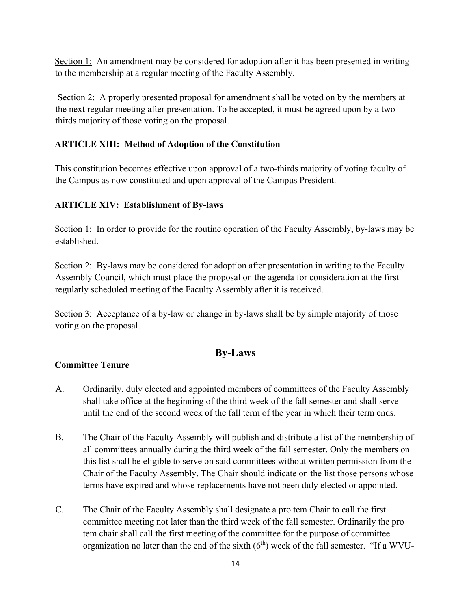Section 1: An amendment may be considered for adoption after it has been presented in writing to the membership at a regular meeting of the Faculty Assembly.

 Section 2: A properly presented proposal for amendment shall be voted on by the members at the next regular meeting after presentation. To be accepted, it must be agreed upon by a two thirds majority of those voting on the proposal.

## **ARTICLE XIII: Method of Adoption of the Constitution**

This constitution becomes effective upon approval of a two-thirds majority of voting faculty of the Campus as now constituted and upon approval of the Campus President.

## **ARTICLE XIV: Establishment of By-laws**

Section 1: In order to provide for the routine operation of the Faculty Assembly, by-laws may be established.

Section 2: By-laws may be considered for adoption after presentation in writing to the Faculty Assembly Council, which must place the proposal on the agenda for consideration at the first regularly scheduled meeting of the Faculty Assembly after it is received.

Section 3: Acceptance of a by-law or change in by-laws shall be by simple majority of those voting on the proposal.

# **By-Laws**

### **Committee Tenure**

- A. Ordinarily, duly elected and appointed members of committees of the Faculty Assembly shall take office at the beginning of the third week of the fall semester and shall serve until the end of the second week of the fall term of the year in which their term ends.
- B. The Chair of the Faculty Assembly will publish and distribute a list of the membership of all committees annually during the third week of the fall semester. Only the members on this list shall be eligible to serve on said committees without written permission from the Chair of the Faculty Assembly. The Chair should indicate on the list those persons whose terms have expired and whose replacements have not been duly elected or appointed.
- C. The Chair of the Faculty Assembly shall designate a pro tem Chair to call the first committee meeting not later than the third week of the fall semester. Ordinarily the pro tem chair shall call the first meeting of the committee for the purpose of committee organization no later than the end of the sixth  $(6<sup>th</sup>)$  week of the fall semester. "If a WVU-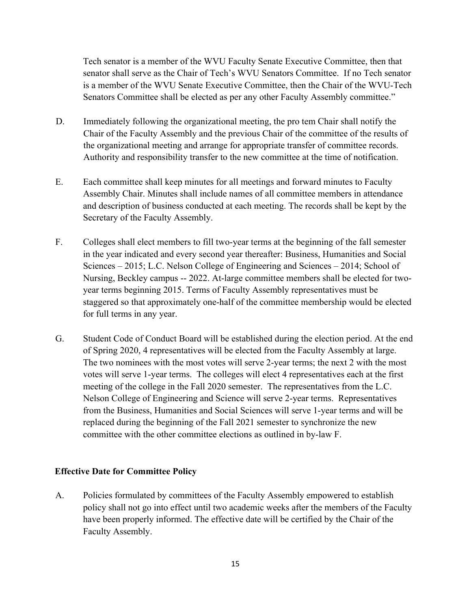Tech senator is a member of the WVU Faculty Senate Executive Committee, then that senator shall serve as the Chair of Tech's WVU Senators Committee. If no Tech senator is a member of the WVU Senate Executive Committee, then the Chair of the WVU-Tech Senators Committee shall be elected as per any other Faculty Assembly committee."

- D. Immediately following the organizational meeting, the pro tem Chair shall notify the Chair of the Faculty Assembly and the previous Chair of the committee of the results of the organizational meeting and arrange for appropriate transfer of committee records. Authority and responsibility transfer to the new committee at the time of notification.
- E. Each committee shall keep minutes for all meetings and forward minutes to Faculty Assembly Chair. Minutes shall include names of all committee members in attendance and description of business conducted at each meeting. The records shall be kept by the Secretary of the Faculty Assembly.
- F. Colleges shall elect members to fill two-year terms at the beginning of the fall semester in the year indicated and every second year thereafter: Business, Humanities and Social Sciences – 2015; L.C. Nelson College of Engineering and Sciences – 2014; School of Nursing, Beckley campus -- 2022. At-large committee members shall be elected for twoyear terms beginning 2015. Terms of Faculty Assembly representatives must be staggered so that approximately one-half of the committee membership would be elected for full terms in any year.
- G. Student Code of Conduct Board will be established during the election period. At the end of Spring 2020, 4 representatives will be elected from the Faculty Assembly at large. The two nominees with the most votes will serve 2-year terms; the next 2 with the most votes will serve 1-year terms. The colleges will elect 4 representatives each at the first meeting of the college in the Fall 2020 semester. The representatives from the L.C. Nelson College of Engineering and Science will serve 2-year terms. Representatives from the Business, Humanities and Social Sciences will serve 1-year terms and will be replaced during the beginning of the Fall 2021 semester to synchronize the new committee with the other committee elections as outlined in by-law F.

#### **Effective Date for Committee Policy**

A. Policies formulated by committees of the Faculty Assembly empowered to establish policy shall not go into effect until two academic weeks after the members of the Faculty have been properly informed. The effective date will be certified by the Chair of the Faculty Assembly.